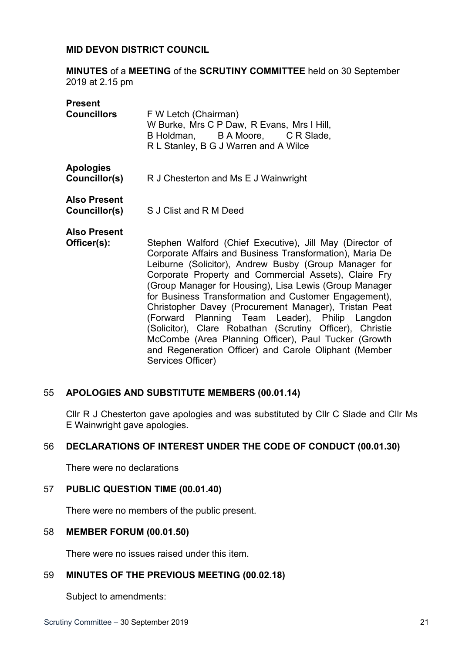## **MID DEVON DISTRICT COUNCIL**

**MINUTES** of a **MEETING** of the **SCRUTINY COMMITTEE** held on 30 September 2019 at 2.15 pm

| <b>Present</b>                    |                                                                                                                                                 |
|-----------------------------------|-------------------------------------------------------------------------------------------------------------------------------------------------|
| <b>Councillors</b>                | F W Letch (Chairman)<br>W Burke, Mrs C P Daw, R Evans, Mrs I Hill,<br>B Holdman, B A Moore, C R Slade,<br>R L Stanley, B G J Warren and A Wilce |
| <b>Apologies</b><br>Councillor(s) | R J Chesterton and Ms E J Wainwright                                                                                                            |
| <b>Also Present</b>               |                                                                                                                                                 |

**Councillor(s)** S J Clist and R M Deed

**Also Present**

**Officer(s):** Stephen Walford (Chief Executive), Jill May (Director of Corporate Affairs and Business Transformation), Maria De Leiburne (Solicitor), Andrew Busby (Group Manager for Corporate Property and Commercial Assets), Claire Fry (Group Manager for Housing), Lisa Lewis (Group Manager for Business Transformation and Customer Engagement), Christopher Davey (Procurement Manager), Tristan Peat (Forward Planning Team Leader), Philip Langdon (Solicitor), Clare Robathan (Scrutiny Officer), Christie McCombe (Area Planning Officer), Paul Tucker (Growth and Regeneration Officer) and Carole Oliphant (Member Services Officer)

# 55 **APOLOGIES AND SUBSTITUTE MEMBERS (00.01.14)**

Cllr R J Chesterton gave apologies and was substituted by Cllr C Slade and Cllr Ms E Wainwright gave apologies.

# 56 **DECLARATIONS OF INTEREST UNDER THE CODE OF CONDUCT (00.01.30)**

There were no declarations

# 57 **PUBLIC QUESTION TIME (00.01.40)**

There were no members of the public present.

# 58 **MEMBER FORUM (00.01.50)**

There were no issues raised under this item.

# 59 **MINUTES OF THE PREVIOUS MEETING (00.02.18)**

Subject to amendments: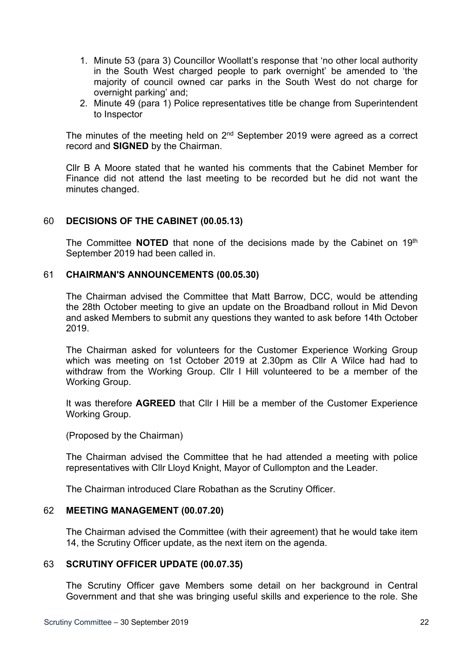- 1. Minute 53 (para 3) Councillor Woollatt's response that 'no other local authority in the South West charged people to park overnight' be amended to 'the majority of council owned car parks in the South West do not charge for overnight parking' and;
- 2. Minute 49 (para 1) Police representatives title be change from Superintendent to Inspector

The minutes of the meeting held on  $2<sup>nd</sup>$  September 2019 were agreed as a correct record and **SIGNED** by the Chairman.

Cllr B A Moore stated that he wanted his comments that the Cabinet Member for Finance did not attend the last meeting to be recorded but he did not want the minutes changed.

## 60 **DECISIONS OF THE CABINET (00.05.13)**

The Committee **NOTED** that none of the decisions made by the Cabinet on 19th September 2019 had been called in.

## 61 **CHAIRMAN'S ANNOUNCEMENTS (00.05.30)**

The Chairman advised the Committee that Matt Barrow, DCC, would be attending the 28th October meeting to give an update on the Broadband rollout in Mid Devon and asked Members to submit any questions they wanted to ask before 14th October 2019.

The Chairman asked for volunteers for the Customer Experience Working Group which was meeting on 1st October 2019 at 2.30pm as Cllr A Wilce had had to withdraw from the Working Group. Cllr I Hill volunteered to be a member of the Working Group.

It was therefore **AGREED** that Cllr I Hill be a member of the Customer Experience Working Group.

(Proposed by the Chairman)

The Chairman advised the Committee that he had attended a meeting with police representatives with Cllr Lloyd Knight, Mayor of Cullompton and the Leader.

The Chairman introduced Clare Robathan as the Scrutiny Officer.

### 62 **MEETING MANAGEMENT (00.07.20)**

The Chairman advised the Committee (with their agreement) that he would take item 14, the Scrutiny Officer update, as the next item on the agenda.

### 63 **SCRUTINY OFFICER UPDATE (00.07.35)**

The Scrutiny Officer gave Members some detail on her background in Central Government and that she was bringing useful skills and experience to the role. She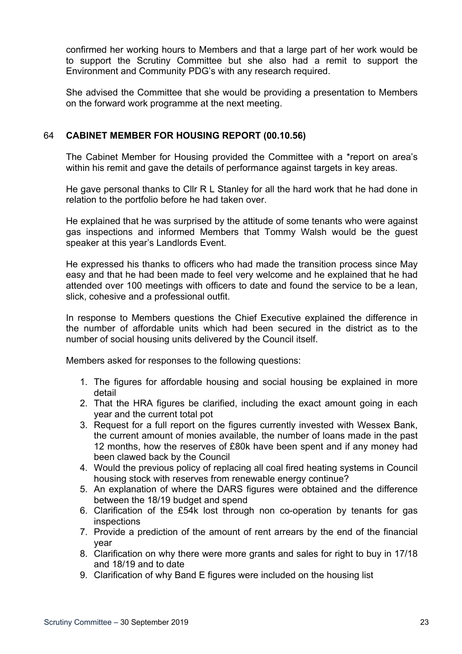confirmed her working hours to Members and that a large part of her work would be to support the Scrutiny Committee but she also had a remit to support the Environment and Community PDG's with any research required.

She advised the Committee that she would be providing a presentation to Members on the forward work programme at the next meeting.

# 64 **CABINET MEMBER FOR HOUSING REPORT (00.10.56)**

The Cabinet Member for Housing provided the Committee with a \*report on area's within his remit and gave the details of performance against targets in key areas.

He gave personal thanks to Cllr R L Stanley for all the hard work that he had done in relation to the portfolio before he had taken over.

He explained that he was surprised by the attitude of some tenants who were against gas inspections and informed Members that Tommy Walsh would be the guest speaker at this year's Landlords Event.

He expressed his thanks to officers who had made the transition process since May easy and that he had been made to feel very welcome and he explained that he had attended over 100 meetings with officers to date and found the service to be a lean, slick, cohesive and a professional outfit.

In response to Members questions the Chief Executive explained the difference in the number of affordable units which had been secured in the district as to the number of social housing units delivered by the Council itself.

Members asked for responses to the following questions:

- 1. The figures for affordable housing and social housing be explained in more detail
- 2. That the HRA figures be clarified, including the exact amount going in each year and the current total pot
- 3. Request for a full report on the figures currently invested with Wessex Bank, the current amount of monies available, the number of loans made in the past 12 months, how the reserves of £80k have been spent and if any money had been clawed back by the Council
- 4. Would the previous policy of replacing all coal fired heating systems in Council housing stock with reserves from renewable energy continue?
- 5. An explanation of where the DARS figures were obtained and the difference between the 18/19 budget and spend
- 6. Clarification of the £54k lost through non co-operation by tenants for gas inspections
- 7. Provide a prediction of the amount of rent arrears by the end of the financial year
- 8. Clarification on why there were more grants and sales for right to buy in 17/18 and 18/19 and to date
- 9. Clarification of why Band E figures were included on the housing list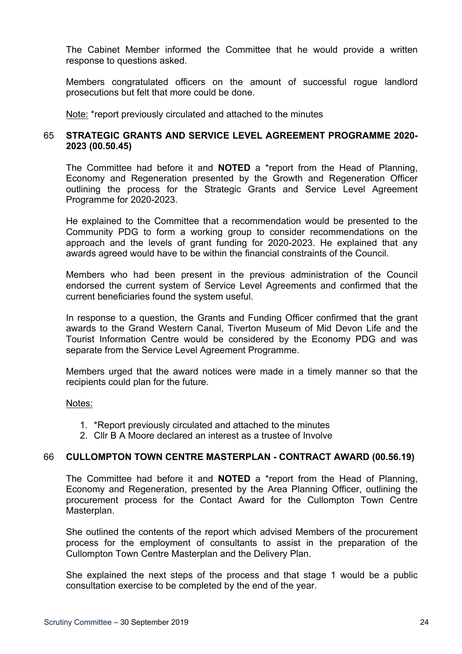The Cabinet Member informed the Committee that he would provide a written response to questions asked.

Members congratulated officers on the amount of successful rogue landlord prosecutions but felt that more could be done.

Note: \*report previously circulated and attached to the minutes

# 65 **STRATEGIC GRANTS AND SERVICE LEVEL AGREEMENT PROGRAMME 2020- 2023 (00.50.45)**

The Committee had before it and **NOTED** a \*report from the Head of Planning, Economy and Regeneration presented by the Growth and Regeneration Officer outlining the process for the Strategic Grants and Service Level Agreement Programme for 2020-2023.

He explained to the Committee that a recommendation would be presented to the Community PDG to form a working group to consider recommendations on the approach and the levels of grant funding for 2020-2023. He explained that any awards agreed would have to be within the financial constraints of the Council.

Members who had been present in the previous administration of the Council endorsed the current system of Service Level Agreements and confirmed that the current beneficiaries found the system useful.

In response to a question, the Grants and Funding Officer confirmed that the grant awards to the Grand Western Canal, Tiverton Museum of Mid Devon Life and the Tourist Information Centre would be considered by the Economy PDG and was separate from the Service Level Agreement Programme.

Members urged that the award notices were made in a timely manner so that the recipients could plan for the future.

Notes:

- 1. \*Report previously circulated and attached to the minutes
- 2. Cllr B A Moore declared an interest as a trustee of Involve

# 66 **CULLOMPTON TOWN CENTRE MASTERPLAN - CONTRACT AWARD (00.56.19)**

The Committee had before it and **NOTED** a \*report from the Head of Planning, Economy and Regeneration, presented by the Area Planning Officer, outlining the procurement process for the Contact Award for the Cullompton Town Centre Masterplan.

She outlined the contents of the report which advised Members of the procurement process for the employment of consultants to assist in the preparation of the Cullompton Town Centre Masterplan and the Delivery Plan.

She explained the next steps of the process and that stage 1 would be a public consultation exercise to be completed by the end of the year.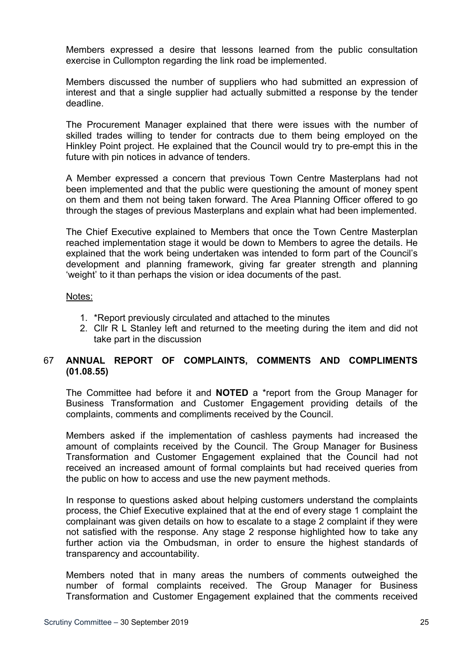Members expressed a desire that lessons learned from the public consultation exercise in Cullompton regarding the link road be implemented.

Members discussed the number of suppliers who had submitted an expression of interest and that a single supplier had actually submitted a response by the tender deadline.

The Procurement Manager explained that there were issues with the number of skilled trades willing to tender for contracts due to them being employed on the Hinkley Point project. He explained that the Council would try to pre-empt this in the future with pin notices in advance of tenders.

A Member expressed a concern that previous Town Centre Masterplans had not been implemented and that the public were questioning the amount of money spent on them and them not being taken forward. The Area Planning Officer offered to go through the stages of previous Masterplans and explain what had been implemented.

The Chief Executive explained to Members that once the Town Centre Masterplan reached implementation stage it would be down to Members to agree the details. He explained that the work being undertaken was intended to form part of the Council's development and planning framework, giving far greater strength and planning 'weight' to it than perhaps the vision or idea documents of the past.

## Notes:

- 1. \*Report previously circulated and attached to the minutes
- 2. Cllr R L Stanley left and returned to the meeting during the item and did not take part in the discussion

# 67 **ANNUAL REPORT OF COMPLAINTS, COMMENTS AND COMPLIMENTS (01.08.55)**

The Committee had before it and **NOTED** a \*report from the Group Manager for Business Transformation and Customer Engagement providing details of the complaints, comments and compliments received by the Council.

Members asked if the implementation of cashless payments had increased the amount of complaints received by the Council. The Group Manager for Business Transformation and Customer Engagement explained that the Council had not received an increased amount of formal complaints but had received queries from the public on how to access and use the new payment methods.

In response to questions asked about helping customers understand the complaints process, the Chief Executive explained that at the end of every stage 1 complaint the complainant was given details on how to escalate to a stage 2 complaint if they were not satisfied with the response. Any stage 2 response highlighted how to take any further action via the Ombudsman, in order to ensure the highest standards of transparency and accountability.

Members noted that in many areas the numbers of comments outweighed the number of formal complaints received. The Group Manager for Business Transformation and Customer Engagement explained that the comments received